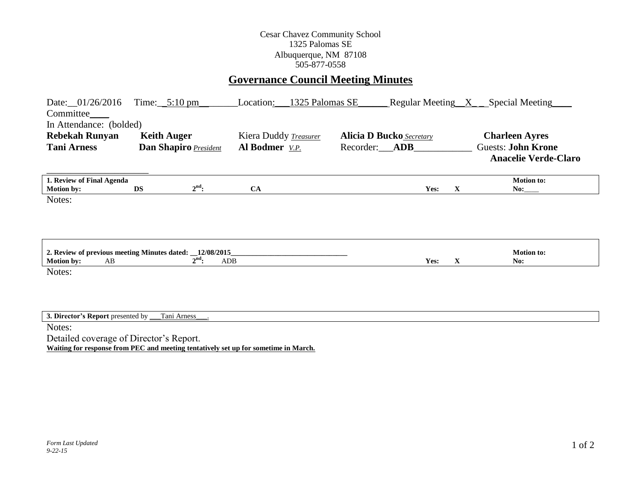## Cesar Chavez Community School 1325 Palomas SE Albuquerque, NM 87108 505-877-0558

## **Governance Council Meeting Minutes**

| Date: 01/26/2016<br>Committee_<br>In Attendance: (bolded) | Time: $5:10 \text{ pm}$                                                             | Location:             | 1325 Palomas SE        |                                 |             | Regular Meeting X <sub>_</sub> Special Meeting           |
|-----------------------------------------------------------|-------------------------------------------------------------------------------------|-----------------------|------------------------|---------------------------------|-------------|----------------------------------------------------------|
| <b>Rebekah Runyan</b>                                     | <b>Keith Auger</b>                                                                  | Kiera Duddy Treasurer |                        | <b>Alicia D Bucko</b> Secretary |             | <b>Charleen Ayres</b>                                    |
| <b>Tani Arness</b>                                        | Dan Shapiro President                                                               | Al Bodmer V.P.        | Recorder:__ <b>ADB</b> |                                 |             | <b>Guests: John Krone</b><br><b>Anacelie Verde-Claro</b> |
| 1. Review of Final Agenda<br><b>Motion by:</b>            | $2nd$ :<br><b>DS</b>                                                                | CA                    |                        | Yes:                            | X           | <b>Motion to:</b>                                        |
| Notes:<br><b>Motion by:</b><br>AB                         | 2. Review of previous meeting Minutes dated: __12/08/2015_<br>$2nd$ :<br>ADB        |                       |                        | Yes:                            | $\mathbf X$ | <b>Motion to:</b><br>No:                                 |
| Notes:<br>3. Director's Report presented by _             | Tani Arness                                                                         |                       |                        |                                 |             |                                                          |
| Notes:                                                    |                                                                                     |                       |                        |                                 |             |                                                          |
| Detailed coverage of Director's Report.                   | Waiting for response from PEC and meeting tentatively set up for sometime in March. |                       |                        |                                 |             |                                                          |